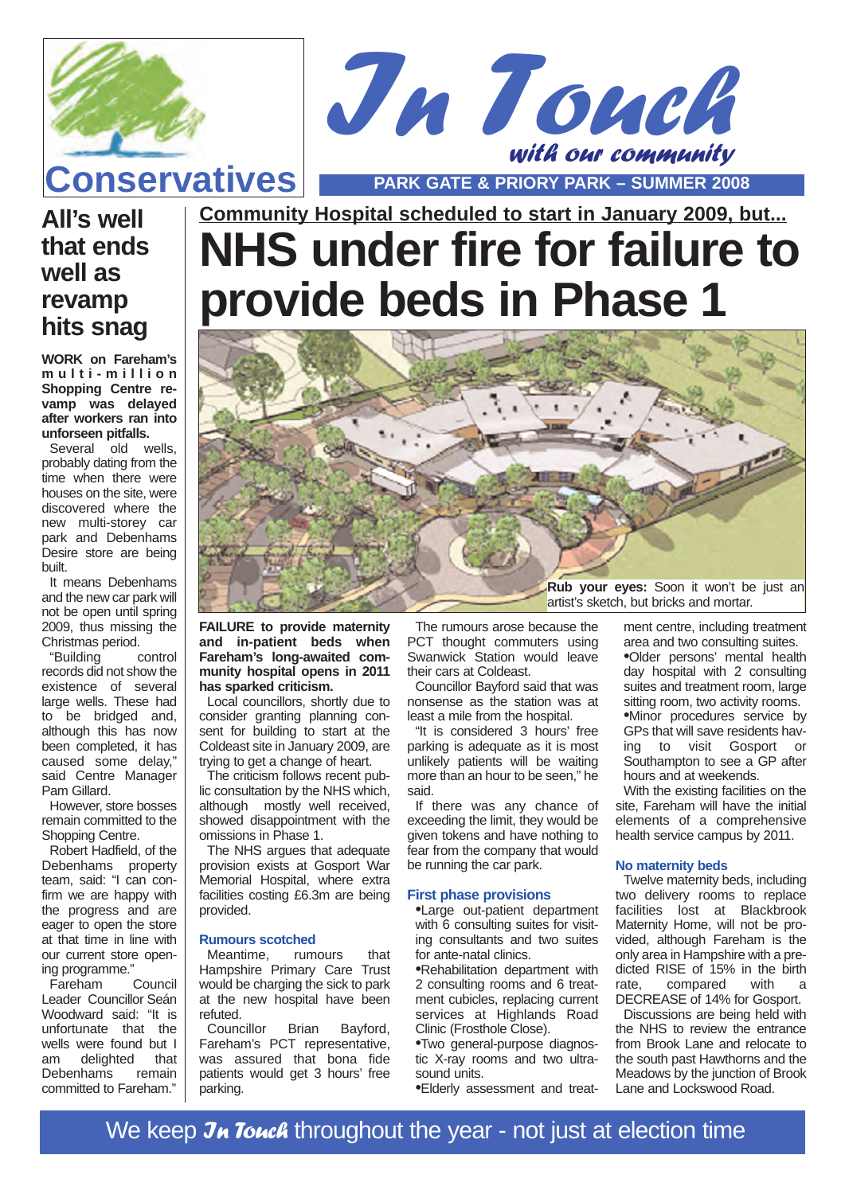



**Community Hospital scheduled to start in January 2009, but...**

## **All's well that ends well as revamp hits snag**

**WORK on Fareham's multi-million Shopping Centre revamp was delayed after workers ran into unforseen pitfalls.**

Several old wells, probably dating from the time when there were houses on the site, were discovered where the new multi-storey car park and Debenhams Desire store are being built.

It means Debenhams and the new car park will not be open until spring 2009, thus missing the Christmas period.

"Building control records did not show the existence of several large wells. These had to be bridged and, although this has now been completed, it has caused some delay," said Centre Manager Pam Gillard.

However, store bosses remain committed to the Shopping Centre.

Robert Hadfield, of the Debenhams property team, said: "I can confirm we are happy with the progress and are eager to open the store at that time in line with our current store opening programme."<br>Fareham Council

 $F$ areham Leader Councillor Seán Woodward said: "It is unfortunate that the wells were found but I<br>am delighted that am delighted Debenhams remain committed to Fareham."

# **NHS under fire for failure to provide beds in Phase 1**



**FAILURE to provide maternity and in-patient beds when Fareham's long-awaited community hospital opens in 2011 has sparked criticism.**

Local councillors, shortly due to consider granting planning consent for building to start at the Coldeast site in January 2009, are trying to get a change of heart.

The criticism follows recent public consultation by the NHS which, although mostly well received, showed disappointment with the omissions in Phase 1.

The NHS argues that adequate provision exists at Gosport War Memorial Hospital, where extra facilities costing £6.3m are being provided.

### **Rumours scotched**

Meantime, rumours that Hampshire Primary Care Trust would be charging the sick to park at the new hospital have been refuted.<br>Councillor

Brian Bayford, Fareham's PCT representative, was assured that bona fide patients would get 3 hours' free parking.

The rumours arose because the PCT thought commuters using Swanwick Station would leave their cars at Coldeast.

Councillor Bayford said that was nonsense as the station was at least a mile from the hospital.

"It is considered 3 hours' free parking is adequate as it is most unlikely patients will be waiting more than an hour to be seen," he said.

If there was any chance of exceeding the limit, they would be given tokens and have nothing to fear from the company that would be running the car park.

#### **First phase provisions**

•Large out-patient department with 6 consulting suites for visiting consultants and two suites for ante-natal clinics.

•Rehabilitation department with 2 consulting rooms and 6 treatment cubicles, replacing current services at Highlands Road Clinic (Frosthole Close).

•Two general-purpose diagnostic X-ray rooms and two ultrasound units.

•Elderly assessment and treat-

ment centre, including treatment area and two consulting suites. •Older persons' mental health day hospital with 2 consulting suites and treatment room, large sitting room, two activity rooms. •Minor procedures service by GPs that will save residents having to visit Gosport or Southampton to see a GP after hours and at weekends.

With the existing facilities on the site. Fareham will have the initial elements of a comprehensive health service campus by 2011.

### **No maternity beds**

Twelve maternity beds, including two delivery rooms to replace facilities lost at Blackbrook Maternity Home, will not be provided, although Fareham is the only area in Hampshire with a predicted RISE of 15% in the birth<br>rate. compared with a compared DECREASE of 14% for Gosport.

Discussions are being held with the NHS to review the entrance from Brook Lane and relocate to the south past Hawthorns and the Meadows by the junction of Brook Lane and Lockswood Road.

We keep Jn Touch throughout the year - not just at election time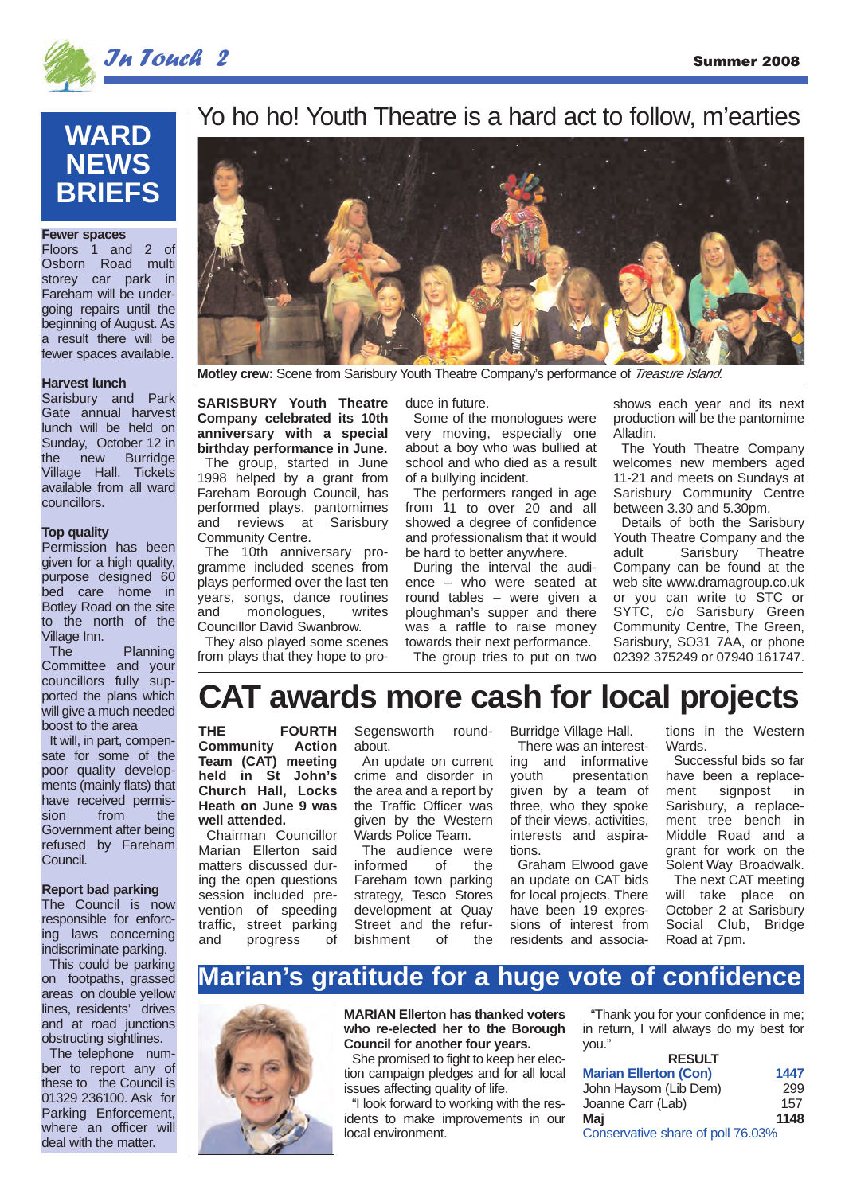

## In Touch 2 Summer 2008

## **WARD NEWS BRIEFS**

### **Fewer spaces**

Floors 1 and 2 of Osborn Road multi storey car park in Fareham will be undergoing repairs until the beginning of August. As a result there will be fewer spaces available.

### **Harvest lunch**

Sarisbury and Park Gate annual harvest lunch will be held on Sunday, October 12 in the new Burridge Village Hall. Tickets available from all ward councillors.

### **Top quality**

Permission has been given for a high quality, purpose designed 60 bed care home in Botley Road on the site to the north of the Village Inn.

The Planning Committee and your councillors fully supported the plans which will give a much needed boost to the area

It will, in part, compensate for some of the poor quality developments (mainly flats) that have received permis-<br>sion from the sion from Government after being refused by Fareham Council.

#### **Report bad parking**

The Council is now responsible for enforcing laws concerning indiscriminate parking.

This could be parking on footpaths, grassed areas on double yellow lines, residents' drives and at road junctions obstructing sightlines.

The telephone number to report any of these to the Council is 01329 236100. Ask for Parking Enforcement, where an officer will deal with the matter.

## Yo ho ho! Youth Theatre is a hard act to follow, m'earties



**Motley crew:** Scene from Sarisbury Youth Theatre Company's performance of *Treasure Island.* 

**SARISBURY Youth Theatre Company celebrated its 10th anniversary with a special birthday performance in June.**

The group, started in June 1998 helped by a grant from Fareham Borough Council, has performed plays, pantomimes and reviews at Sarisbury Community Centre.

The 10th anniversary programme included scenes from plays performed over the last ten years, songs, dance routines and monologues, writes Councillor David Swanbrow.

They also played some scenes from plays that they hope to produce in future.

Some of the monologues were very moving, especially one about a boy who was bullied at school and who died as a result of a bullying incident.

The performers ranged in age from 11 to over 20 and all showed a degree of confidence and professionalism that it would be hard to better anywhere.

During the interval the audience – who were seated at round tables – were given a ploughman's supper and there was a raffle to raise money towards their next performance. The group tries to put on two shows each year and its next production will be the pantomime Alladin.

The Youth Theatre Company welcomes new members aged 11-21 and meets on Sundays at Sarisbury Community Centre between  $3.30$  and  $5.30$ pm.

Details of both the Sarisbury Youth Theatre Company and the adult Sarisbury Theatre Company can be found at the web site www.dramagroup.co.uk or you can write to STC or SYTC, c/o Sarisbury Green Community Centre, The Green, Sarisbury, SO31 7AA, or phone 02392 375249 or 07940 161747.

## **CAT awards more cash for local projects**

**THE FOURTH**<br>Community **Action Community Team (CAT) meeting held in St John's Church Hall, Locks Heath on June 9 was well attended.**

Chairman Councillor Marian Ellerton said matters discussed during the open questions session included prevention of speeding traffic, street parking<br>and progress of progress

Segensworth roundabout. An update on current crime and disorder in

the area and a report by the Traffic Officer was given by the Western Wards Police Team.

The audience were  $informed$ Fareham town parking strategy, Tesco Stores development at Quay Street and the refur-<br>bishment of the bishment

Burridge Village Hall. There was an interesting and informative presentation given by a team of three, who they spoke of their views, activities, interests and aspirations.

Graham Elwood gave an update on CAT bids for local projects. There have been 19 expressions of interest from residents and associations in the Western Wards.

Successful bids so far have been a replacement signpost in Sarisbury, a replacement tree bench in Middle Road and a grant for work on the Solent Way Broadwalk.

The next CAT meeting will take place on October 2 at Sarisbury Social Club, Bridge Road at 7pm.

## **Marian's gratitude for a huge vote of confidence**

**MARIAN Ellerton has thanked voters who re-elected her to the Borough Council for another four years.**

She promised to fight to keep her election campaign pledges and for all local issues affecting quality of life.

"I look forward to working with the residents to make improvements in our local environment.

"Thank you for your confidence in me; in return, I will always do my best for you."

| <b>RESULT</b>                     |      |
|-----------------------------------|------|
| <b>Marian Ellerton (Con)</b>      | 1447 |
| John Haysom (Lib Dem)             | 299  |
| Joanne Carr (Lab)                 | 157  |
| Mai                               | 1148 |
| Conservative share of poll 76.03% |      |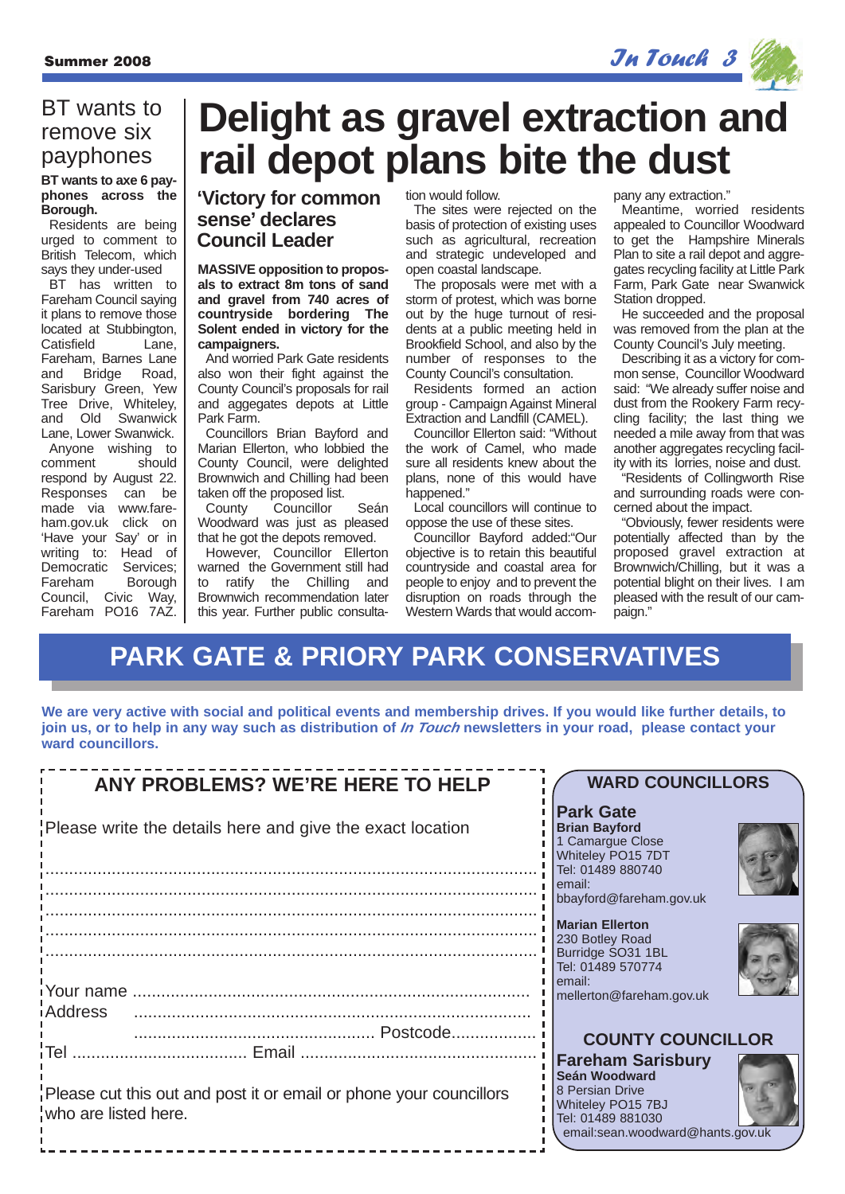

### BT wants to remove six payphones

### **phones across the Borough.**

Residents are being urged to comment to British Telecom, which says they under-used

BT has written to Fareham Council saying it plans to remove those located at Stubbington, Catisfield Lane Fareham, Barnes Lane and Bridge Road, Sarisbury Green, Yew Tree Drive, Whiteley, and Old Swanwick Lane, Lower Swanwick. Anyone wishing to

comment should respond by August 22. Responses can be made via www.fareham.gov.uk click on 'Have your Say' or in writing to: Head of Democratic Services;<br>Fareham Borough Fareham Council, Civic Way, Fareham PO16 7AZ.

## **Delight as gravel extraction and Payphones**  $\left| \right|$  rail depot plans bite the dust

### **'Victory for common sense' declares Council Leader**

**MASSIVE opposition to proposals to extract 8m tons of sand and gravel from 740 acres of countryside bordering The Solent ended in victory for the campaigners.**

And worried Park Gate residents also won their fight against the County Council's proposals for rail and aggegates depots at Little Park Farm.

Councillors Brian Bayford and Marian Ellerton, who lobbied the County Council, were delighted Brownwich and Chilling had been

taken off the proposed list.<br>County Councillor Councillor Seán Woodward was just as pleased that he got the depots removed.

However, Councillor Ellerton warned the Government still had to ratify the Chilling and Brownwich recommendation later this year. Further public consultation would follow.

The sites were rejected on the basis of protection of existing uses such as agricultural, recreation and strategic undeveloped and open coastal landscape.

The proposals were met with a storm of protest, which was borne out by the huge turnout of residents at a public meeting held in Brookfield School, and also by the number of responses to the County Council's consultation.

Residents formed an action group - Campaign Against Mineral Extraction and Landfill (CAMEL).

Councillor Ellerton said: "Without the work of Camel, who made sure all residents knew about the plans, none of this would have happened."

Local councillors will continue to oppose the use of these sites.

Councillor Bayford added:"Our objective is to retain this beautiful countryside and coastal area for people to enjoy and to prevent the disruption on roads through the Western Wards that would accompany any extraction."

Meantime, worried residents appealed to Councillor Woodward to get the Hampshire Minerals Plan to site a rail depot and aggregates recycling facility at Little Park Farm, Park Gate near Swanwick Station dropped.

He succeeded and the proposal was removed from the plan at the County Council's July meeting.

Describing it as a victory for common sense, Councillor Woodward said: "We already suffer noise and dust from the Rookery Farm recycling facility; the last thing we needed a mile away from that was another aggregates recycling facility with its lorries, noise and dust.

"Residents of Collingworth Rise and surrounding roads were concerned about the impact.

"Obviously, fewer residents were potentially affected than by the proposed gravel extraction at Brownwich/Chilling, but it was a potential blight on their lives. I am pleased with the result of our campaign."

## **PARK GATE & PRIORY PARK CONSERVATIVES**

**We are very active with social and political events and membership drives. If you would like further details, to join us, or to help in any way such as distribution of In Touch newsletters in your road, please contact your ward councillors.**

| ANY PROBLEMS? WE'RE HERE TO HELP                                                           | <b>WARD COUNCILLORS</b>                                                                                                                    |
|--------------------------------------------------------------------------------------------|--------------------------------------------------------------------------------------------------------------------------------------------|
| Please write the details here and give the exact location                                  | <b>Park Gate</b><br><b>Brian Bayford</b><br>1 Camargue Close<br>Whiteley PO15 7DT<br>Tel: 01489 880740                                     |
|                                                                                            | l email:<br>bbayford@fareham.gov.uk                                                                                                        |
|                                                                                            | Marian Ellerton<br>230 Botley Road<br>Burridge SO31 1BL<br>Tel: 01489 570774<br>email:                                                     |
| iAddress                                                                                   | mellerton@fareham.gov.uk                                                                                                                   |
|                                                                                            | <b>COUNTY COUNCILLOR</b>                                                                                                                   |
| Please cut this out and post it or email or phone your councillors<br>who are listed here. | <b>Fareham Sarisbury</b><br>Seán Woodward<br>8 Persian Drive<br>Whiteley PO15 7BJ<br>Tel: 01489 881030<br>email:sean.woodward@hants.gov.uk |